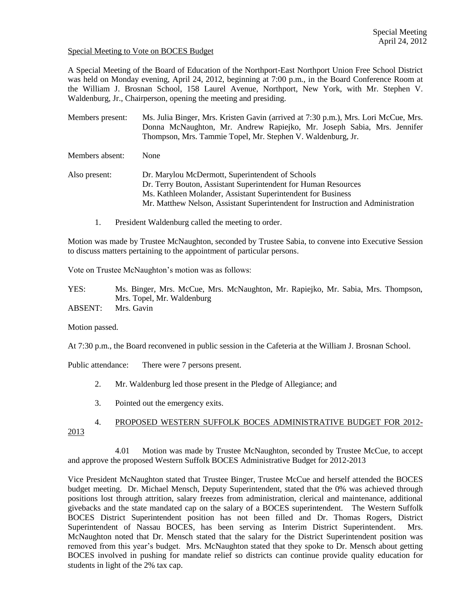#### Special Meeting to Vote on BOCES Budget

A Special Meeting of the Board of Education of the Northport-East Northport Union Free School District was held on Monday evening, April 24, 2012, beginning at 7:00 p.m., in the Board Conference Room at the William J. Brosnan School, 158 Laurel Avenue, Northport, New York, with Mr. Stephen V. Waldenburg, Jr., Chairperson, opening the meeting and presiding.

Members present: Ms. Julia Binger, Mrs. Kristen Gavin (arrived at 7:30 p.m.), Mrs. Lori McCue, Mrs. Donna McNaughton, Mr. Andrew Rapiejko, Mr. Joseph Sabia, Mrs. Jennifer Thompson, Mrs. Tammie Topel, Mr. Stephen V. Waldenburg, Jr.

Members absent: None

Also present: Dr. Marylou McDermott, Superintendent of Schools Dr. Terry Bouton, Assistant Superintendent for Human Resources Ms. Kathleen Molander, Assistant Superintendent for Business Mr. Matthew Nelson, Assistant Superintendent for Instruction and Administration

1. President Waldenburg called the meeting to order.

Motion was made by Trustee McNaughton, seconded by Trustee Sabia, to convene into Executive Session to discuss matters pertaining to the appointment of particular persons.

Vote on Trustee McNaughton's motion was as follows:

YES: Ms. Binger, Mrs. McCue, Mrs. McNaughton, Mr. Rapiejko, Mr. Sabia, Mrs. Thompson, Mrs. Topel, Mr. Waldenburg

ABSENT: Mrs. Gavin

Motion passed.

At 7:30 p.m., the Board reconvened in public session in the Cafeteria at the William J. Brosnan School.

Public attendance: There were 7 persons present.

- 2. Mr. Waldenburg led those present in the Pledge of Allegiance; and
- 3. Pointed out the emergency exits.

#### 4. PROPOSED WESTERN SUFFOLK BOCES ADMINISTRATIVE BUDGET FOR 2012- 2013

4.01 Motion was made by Trustee McNaughton, seconded by Trustee McCue, to accept and approve the proposed Western Suffolk BOCES Administrative Budget for 2012-2013

Vice President McNaughton stated that Trustee Binger, Trustee McCue and herself attended the BOCES budget meeting. Dr. Michael Mensch, Deputy Superintendent, stated that the 0% was achieved through positions lost through attrition, salary freezes from administration, clerical and maintenance, additional givebacks and the state mandated cap on the salary of a BOCES superintendent. The Western Suffolk BOCES District Superintendent position has not been filled and Dr. Thomas Rogers, District Superintendent of Nassau BOCES, has been serving as Interim District Superintendent. Mrs. McNaughton noted that Dr. Mensch stated that the salary for the District Superintendent position was removed from this year's budget. Mrs. McNaughton stated that they spoke to Dr. Mensch about getting BOCES involved in pushing for mandate relief so districts can continue provide quality education for students in light of the 2% tax cap.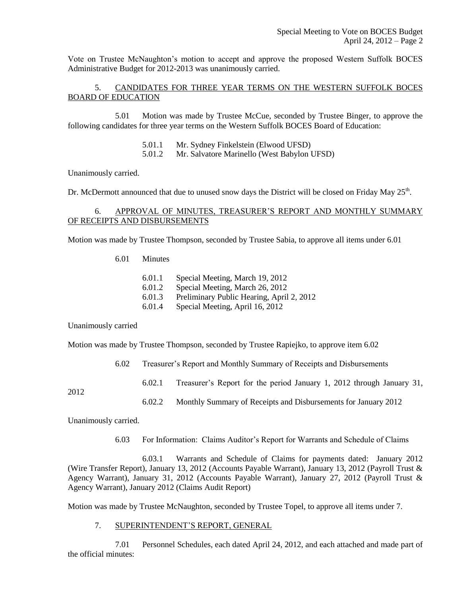Vote on Trustee McNaughton's motion to accept and approve the proposed Western Suffolk BOCES Administrative Budget for 2012-2013 was unanimously carried.

5. CANDIDATES FOR THREE YEAR TERMS ON THE WESTERN SUFFOLK BOCES BOARD OF EDUCATION

5.01 Motion was made by Trustee McCue, seconded by Trustee Binger, to approve the following candidates for three year terms on the Western Suffolk BOCES Board of Education:

5.01.1 Mr. Sydney Finkelstein (Elwood UFSD)

5.01.2 Mr. Salvatore Marinello (West Babylon UFSD)

Unanimously carried.

Dr. McDermott announced that due to unused snow days the District will be closed on Friday May 25<sup>th</sup>.

# 6. APPROVAL OF MINUTES, TREASURER'S REPORT AND MONTHLY SUMMARY OF RECEIPTS AND DISBURSEMENTS

Motion was made by Trustee Thompson, seconded by Trustee Sabia, to approve all items under 6.01

6.01 Minutes

- 6.01.1 Special Meeting, March 19, 2012
- 6.01.2 Special Meeting, March 26, 2012
- 6.01.3 Preliminary Public Hearing, April 2, 2012
- 6.01.4 Special Meeting, April 16, 2012

Unanimously carried

Motion was made by Trustee Thompson, seconded by Trustee Rapiejko, to approve item 6.02

- 6.02 Treasurer's Report and Monthly Summary of Receipts and Disbursements
	- 6.02.1 Treasurer's Report for the period January 1, 2012 through January 31,

2012

6.02.2 Monthly Summary of Receipts and Disbursements for January 2012

Unanimously carried.

6.03 For Information: Claims Auditor's Report for Warrants and Schedule of Claims

6.03.1 Warrants and Schedule of Claims for payments dated: January 2012 (Wire Transfer Report), January 13, 2012 (Accounts Payable Warrant), January 13, 2012 (Payroll Trust & Agency Warrant), January 31, 2012 (Accounts Payable Warrant), January 27, 2012 (Payroll Trust & Agency Warrant), January 2012 (Claims Audit Report)

Motion was made by Trustee McNaughton, seconded by Trustee Topel, to approve all items under 7.

7. SUPERINTENDENT'S REPORT, GENERAL

7.01 Personnel Schedules, each dated April 24, 2012, and each attached and made part of the official minutes: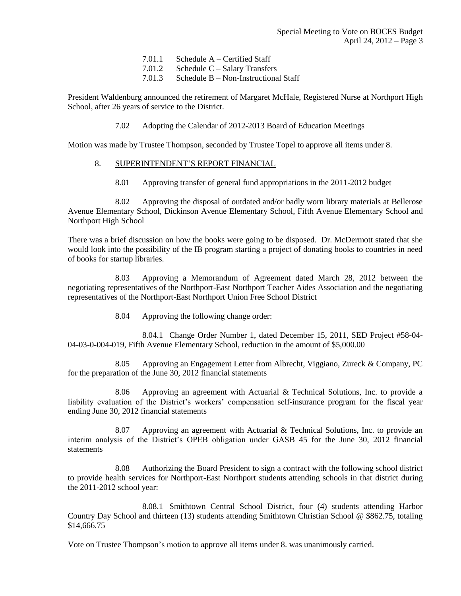|         | $7.01.1$ Schedule A – Certified Staff  |
|---------|----------------------------------------|
|         | $7.01.2$ Schedule C – Salary Transfers |
| - - - - |                                        |

7.01.3 Schedule B – Non-Instructional Staff

President Waldenburg announced the retirement of Margaret McHale, Registered Nurse at Northport High School, after 26 years of service to the District.

7.02 Adopting the Calendar of 2012-2013 Board of Education Meetings

Motion was made by Trustee Thompson, seconded by Trustee Topel to approve all items under 8.

### 8. SUPERINTENDENT'S REPORT FINANCIAL

8.01 Approving transfer of general fund appropriations in the 2011-2012 budget

8.02 Approving the disposal of outdated and/or badly worn library materials at Bellerose Avenue Elementary School, Dickinson Avenue Elementary School, Fifth Avenue Elementary School and Northport High School

There was a brief discussion on how the books were going to be disposed. Dr. McDermott stated that she would look into the possibility of the IB program starting a project of donating books to countries in need of books for startup libraries.

8.03 Approving a Memorandum of Agreement dated March 28, 2012 between the negotiating representatives of the Northport-East Northport Teacher Aides Association and the negotiating representatives of the Northport-East Northport Union Free School District

8.04 Approving the following change order:

8.04.1 Change Order Number 1, dated December 15, 2011, SED Project #58-04- 04-03-0-004-019, Fifth Avenue Elementary School, reduction in the amount of \$5,000.00

8.05 Approving an Engagement Letter from Albrecht, Viggiano, Zureck & Company, PC for the preparation of the June 30, 2012 financial statements

8.06 Approving an agreement with Actuarial & Technical Solutions, Inc. to provide a liability evaluation of the District's workers' compensation self-insurance program for the fiscal year ending June 30, 2012 financial statements

8.07 Approving an agreement with Actuarial & Technical Solutions, Inc. to provide an interim analysis of the District's OPEB obligation under GASB 45 for the June 30, 2012 financial statements

8.08 Authorizing the Board President to sign a contract with the following school district to provide health services for Northport-East Northport students attending schools in that district during the 2011-2012 school year:

8.08.1 Smithtown Central School District, four (4) students attending Harbor Country Day School and thirteen (13) students attending Smithtown Christian School @ \$862.75, totaling \$14,666.75

Vote on Trustee Thompson's motion to approve all items under 8. was unanimously carried.